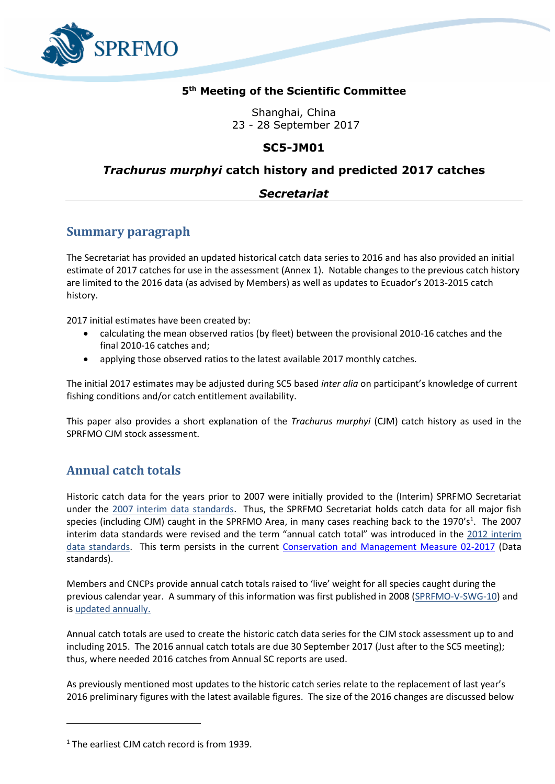

#### **5 th Meeting of the Scientific Committee**

Shanghai, China 23 - 28 September 2017

## **SC5-JM01**

## *Trachurus murphyi* **catch history and predicted 2017 catches**

## *Secretariat*

## **Summary paragraph**

The Secretariat has provided an updated historical catch data series to 2016 and has also provided an initial estimate of 2017 catches for use in the assessment (Annex 1). Notable changes to the previous catch history are limited to the 2016 data (as advised by Members) as well as updates to Ecuador's 2013-2015 catch history.

2017 initial estimates have been created by:

- calculating the mean observed ratios (by fleet) between the provisional 2010-16 catches and the final 2010-16 catches and;
- applying those observed ratios to the latest available 2017 monthly catches.

The initial 2017 estimates may be adjusted during SC5 based *inter alia* on participant's knowledge of current fishing conditions and/or catch entitlement availability.

This paper also provides a short explanation of the *Trachurus murphyi* (CJM) catch history as used in the SPRFMO CJM stock assessment.

# **Annual catch totals**

Historic catch data for the years prior to 2007 were initially provided to the (Interim) SPRFMO Secretariat under the [2007 interim data standards.](http://www.sprfmo.int/assets/Meetings/Meetings-before-2013/International-Consultations-2006-to-2009/IntCons-3-2007-Renaca-Chile/FINAL-SPRFMO-data-standards-300407.pdfhttp:/www.sprfmo.int/assets/Meetings/Meetings-before-2013/International-Consultations-2006-to-2009/IntCons-3-2007-Renaca-Chile/FINAL-SPRFMO-data-standards-300407.pdf) Thus, the SPRFMO Secretariat holds catch data for all major fish species (including CJM) caught in the SPRFMO Area, in many cases reaching back to the 1970's<sup>1</sup>. The 2007 interim data standards were revised and the term "annual catch total" was introduced in the 2012 interim [data standards.](http://www.sprfmo.int/assets/Meetings/Meetings-before-2013/01-Preparatory-conferences/PrepConf-III-Chile-2012/PrepCon3-2012-Data-Standards-Adopted-03Feb2012-Final-Clean.pdf) This term persists in the current [Conservation and Management Measure 02-2017](http://www.sprfmo.int/assets/Fisheries/Conservation-and-Management-Measures/CMM-02-2017-Data-Standards-27Feb17.pdf) (Data standards).

Members and CNCPs provide annual catch totals raised to 'live' weight for all species caught during the previous calendar year. A summary of this information was first published in 2008 [\(SPRFMO-V-SWG-10\)](http://www.sprfmo.int/assets/Meetings/Meetings-before-2013/Scientific-Working-Group/SWG-05-2008/SPRFMO-V-SWG-10-Data-Received-to-Date.pdf) and is [updated annually.](http://www.sprfmo.int/data/catch-information/)

Annual catch totals are used to create the historic catch data series for the CJM stock assessment up to and including 2015. The 2016 annual catch totals are due 30 September 2017 (Just after to the SC5 meeting); thus, where needed 2016 catches from Annual SC reports are used.

As previously mentioned most updates to the historic catch series relate to the replacement of last year's 2016 preliminary figures with the latest available figures. The size of the 2016 changes are discussed below

 $\overline{\phantom{a}}$ 

<sup>&</sup>lt;sup>1</sup> The earliest CJM catch record is from 1939.